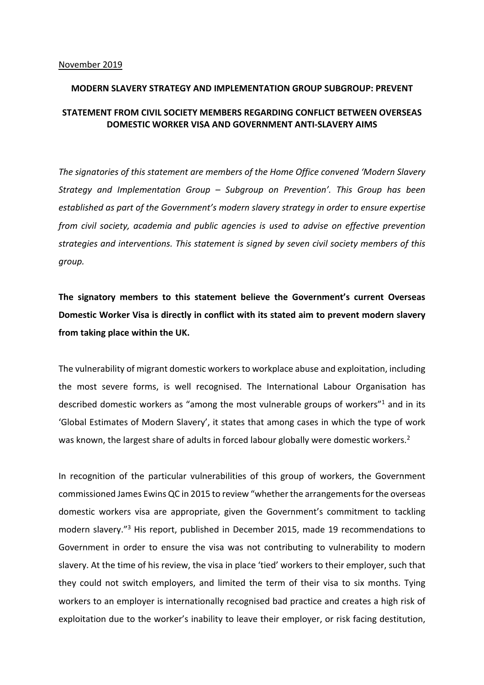## **MODERN SLAVERY STRATEGY AND IMPLEMENTATION GROUP SUBGROUP: PREVENT**

## **STATEMENT FROM CIVIL SOCIETY MEMBERS REGARDING CONFLICT BETWEEN OVERSEAS DOMESTIC WORKER VISA AND GOVERNMENT ANTI-SLAVERY AIMS**

*The signatories of this statement are members of the Home Office convened 'Modern Slavery Strategy and Implementation Group – Subgroup on Prevention'. This Group has been established as part of the Government's modern slavery strategy in order to ensure expertise from civil society, academia and public agencies is used to advise on effective prevention strategies and interventions. This statement is signed by seven civil society members of this group.*

**The signatory members to this statement believe the Government's current Overseas Domestic Worker Visa is directly in conflict with its stated aim to prevent modern slavery from taking place within the UK.** 

The vulnerability of migrant domestic workers to workplace abuse and exploitation, including the most severe forms, is well recognised. The International Labour Organisation has described domestic workers as "among the most vulnerable groups of workers" $1$  and in its 'Global Estimates of Modern Slavery', it states that among cases in which the type of work was known, the largest share of adults in forced labour globally were domestic workers.<sup>2</sup>

In recognition of the particular vulnerabilities of this group of workers, the Government commissioned James Ewins QC in 2015 to review "whether the arrangements for the overseas domestic workers visa are appropriate, given the Government's commitment to tackling modern slavery."3 His report, published in December 2015, made 19 recommendations to Government in order to ensure the visa was not contributing to vulnerability to modern slavery. At the time of his review, the visa in place 'tied' workers to their employer, such that they could not switch employers, and limited the term of their visa to six months. Tying workers to an employer is internationally recognised bad practice and creates a high risk of exploitation due to the worker's inability to leave their employer, or risk facing destitution,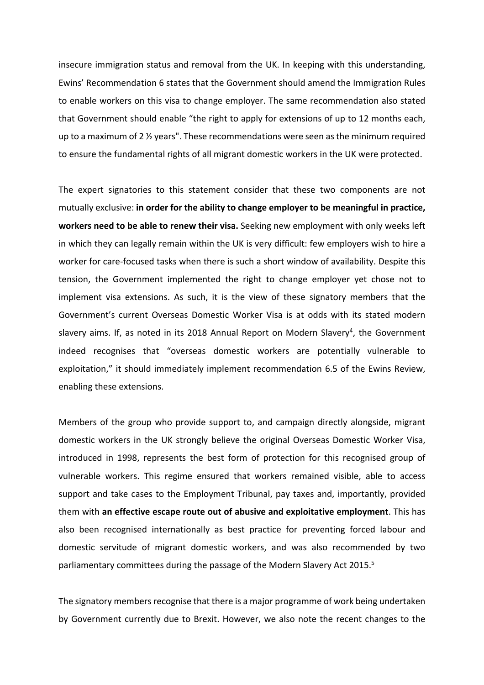insecure immigration status and removal from the UK. In keeping with this understanding, Ewins' Recommendation 6 states that the Government should amend the Immigration Rules to enable workers on this visa to change employer. The same recommendation also stated that Government should enable "the right to apply for extensions of up to 12 months each, up to a maximum of 2  $\frac{1}{2}$  years". These recommendations were seen as the minimum required to ensure the fundamental rights of all migrant domestic workers in the UK were protected.

The expert signatories to this statement consider that these two components are not mutually exclusive: **in order for the ability to change employer to be meaningful in practice, workers need to be able to renew their visa.** Seeking new employment with only weeks left in which they can legally remain within the UK is very difficult: few employers wish to hire a worker for care-focused tasks when there is such a short window of availability. Despite this tension, the Government implemented the right to change employer yet chose not to implement visa extensions. As such, it is the view of these signatory members that the Government's current Overseas Domestic Worker Visa is at odds with its stated modern slavery aims. If, as noted in its 2018 Annual Report on Modern Slavery<sup>4</sup>, the Government indeed recognises that "overseas domestic workers are potentially vulnerable to exploitation," it should immediately implement recommendation 6.5 of the Ewins Review, enabling these extensions.

Members of the group who provide support to, and campaign directly alongside, migrant domestic workers in the UK strongly believe the original Overseas Domestic Worker Visa, introduced in 1998, represents the best form of protection for this recognised group of vulnerable workers. This regime ensured that workers remained visible, able to access support and take cases to the Employment Tribunal, pay taxes and, importantly, provided them with **an effective escape route out of abusive and exploitative employment**. This has also been recognised internationally as best practice for preventing forced labour and domestic servitude of migrant domestic workers, and was also recommended by two parliamentary committees during the passage of the Modern Slavery Act 2015.<sup>5</sup>

The signatory members recognise that there is a major programme of work being undertaken by Government currently due to Brexit. However, we also note the recent changes to the